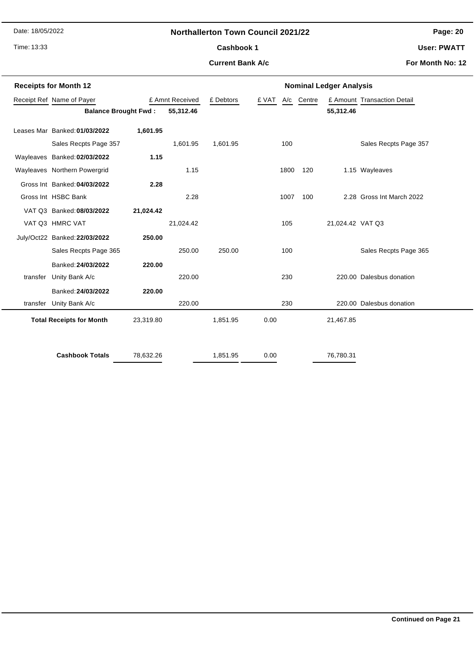Date: 18/05/2022

Time: 13:33

## **Northallerton Town Council 2021/22**

**Page: 20**

**User: PWATT**

## **Current Bank A/c**

Cashbook 1

**For Month No: 12**

| <b>Receipts for Month 12</b> |                                 |           |                 | <b>Nominal Ledger Analysis</b> |       |      |            |                  |                             |
|------------------------------|---------------------------------|-----------|-----------------|--------------------------------|-------|------|------------|------------------|-----------------------------|
| Receipt Ref Name of Payer    |                                 |           | £ Amnt Received |                                | £ VAT |      | A/c Centre |                  | £ Amount Transaction Detail |
|                              | <b>Balance Brought Fwd:</b>     |           | 55,312.46       |                                |       |      |            | 55,312.46        |                             |
|                              | Leases Mar Banked: 01/03/2022   | 1,601.95  |                 |                                |       |      |            |                  |                             |
|                              | Sales Recpts Page 357           |           | 1,601.95        | 1,601.95                       |       | 100  |            |                  | Sales Recpts Page 357       |
|                              | Wayleaves Banked: 02/03/2022    | 1.15      |                 |                                |       |      |            |                  |                             |
|                              | Wayleaves Northern Powergrid    |           | 1.15            |                                |       | 1800 | 120        |                  | 1.15 Wayleaves              |
|                              | Gross Int Banked: 04/03/2022    | 2.28      |                 |                                |       |      |            |                  |                             |
|                              | Gross Int HSBC Bank             |           | 2.28            |                                |       | 1007 | 100        |                  | 2.28 Gross Int March 2022   |
|                              | VAT Q3 Banked: 08/03/2022       | 21,024.42 |                 |                                |       |      |            |                  |                             |
|                              | VAT Q3 HMRC VAT                 |           | 21,024.42       |                                |       | 105  |            | 21,024.42 VAT Q3 |                             |
|                              | July/Oct22 Banked: 22/03/2022   | 250.00    |                 |                                |       |      |            |                  |                             |
|                              | Sales Recpts Page 365           |           | 250.00          | 250.00                         |       | 100  |            |                  | Sales Recpts Page 365       |
|                              | Banked: 24/03/2022              | 220.00    |                 |                                |       |      |            |                  |                             |
| transfer                     | Unity Bank A/c                  |           | 220.00          |                                |       | 230  |            |                  | 220.00 Dalesbus donation    |
|                              | Banked: 24/03/2022              | 220.00    |                 |                                |       |      |            |                  |                             |
| transfer                     | Unity Bank A/c                  |           | 220.00          |                                |       | 230  |            |                  | 220.00 Dalesbus donation    |
|                              | <b>Total Receipts for Month</b> | 23,319.80 |                 | 1,851.95                       | 0.00  |      |            | 21,467.85        |                             |
|                              | <b>Cashbook Totals</b>          | 78,632.26 |                 | 1,851.95                       | 0.00  |      |            | 76,780.31        |                             |